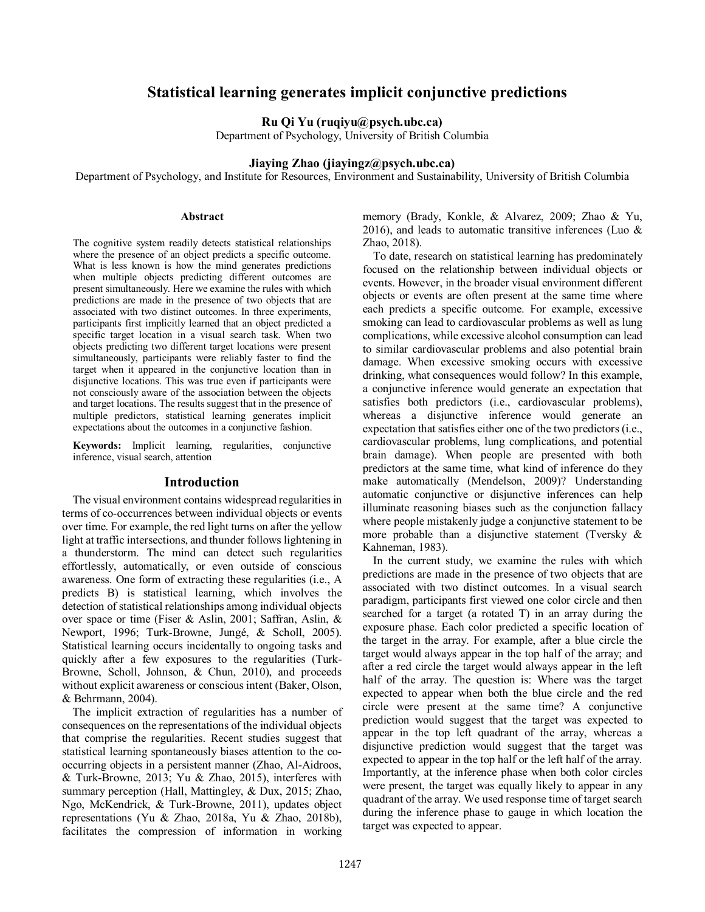# **Statistical learning generates implicit conjunctive predictions**

**Ru Qi Yu (ruqiyu@psych.ubc.ca)**

Department of Psychology, University of British Columbia

## **Jiaying Zhao (jiayingz@psych.ubc.ca)**

Department of Psychology, and Institute for Resources, Environment and Sustainability, University of British Columbia

#### **Abstract**

The cognitive system readily detects statistical relationships where the presence of an object predicts a specific outcome. What is less known is how the mind generates predictions when multiple objects predicting different outcomes are present simultaneously. Here we examine the rules with which predictions are made in the presence of two objects that are associated with two distinct outcomes. In three experiments, participants first implicitly learned that an object predicted a specific target location in a visual search task. When two objects predicting two different target locations were present simultaneously, participants were reliably faster to find the target when it appeared in the conjunctive location than in disjunctive locations. This was true even if participants were not consciously aware of the association between the objects and target locations. The results suggest that in the presence of multiple predictors, statistical learning generates implicit expectations about the outcomes in a conjunctive fashion.

**Keywords:** Implicit learning, regularities, conjunctive inference, visual search, attention

## **Introduction**

The visual environment contains widespread regularities in terms of co-occurrences between individual objects or events over time. For example, the red light turns on after the yellow light at traffic intersections, and thunder follows lightening in a thunderstorm. The mind can detect such regularities effortlessly, automatically, or even outside of conscious awareness. One form of extracting these regularities (i.e., A predicts B) is statistical learning, which involves the detection of statistical relationships among individual objects over space or time (Fiser & Aslin, 2001; Saffran, Aslin, & Newport, 1996; Turk-Browne, Jungé, & Scholl, 2005). Statistical learning occurs incidentally to ongoing tasks and quickly after a few exposures to the regularities (Turk-Browne, Scholl, Johnson, & Chun, 2010), and proceeds without explicit awareness or conscious intent (Baker, Olson, & Behrmann, 2004).

The implicit extraction of regularities has a number of consequences on the representations of the individual objects that comprise the regularities. Recent studies suggest that statistical learning spontaneously biases attention to the cooccurring objects in a persistent manner (Zhao, Al-Aidroos, & Turk-Browne, 2013; Yu & Zhao, 2015), interferes with summary perception (Hall, Mattingley, & Dux, 2015; Zhao, Ngo, McKendrick, & Turk-Browne, 2011), updates object representations (Yu & Zhao, 2018a, Yu & Zhao, 2018b), facilitates the compression of information in working memory (Brady, Konkle, & Alvarez, 2009; Zhao & Yu, 2016), and leads to automatic transitive inferences (Luo  $\&$ Zhao, 2018).

To date, research on statistical learning has predominately focused on the relationship between individual objects or events. However, in the broader visual environment different objects or events are often present at the same time where each predicts a specific outcome. For example, excessive smoking can lead to cardiovascular problems as well as lung complications, while excessive alcohol consumption can lead to similar cardiovascular problems and also potential brain damage. When excessive smoking occurs with excessive drinking, what consequences would follow? In this example, a conjunctive inference would generate an expectation that satisfies both predictors (i.e., cardiovascular problems), whereas a disjunctive inference would generate an expectation that satisfies either one of the two predictors (i.e., cardiovascular problems, lung complications, and potential brain damage). When people are presented with both predictors at the same time, what kind of inference do they make automatically (Mendelson, 2009)? Understanding automatic conjunctive or disjunctive inferences can help illuminate reasoning biases such as the conjunction fallacy where people mistakenly judge a conjunctive statement to be more probable than a disjunctive statement (Tversky & Kahneman, 1983).

In the current study, we examine the rules with which predictions are made in the presence of two objects that are associated with two distinct outcomes. In a visual search paradigm, participants first viewed one color circle and then searched for a target (a rotated T) in an array during the exposure phase. Each color predicted a specific location of the target in the array. For example, after a blue circle the target would always appear in the top half of the array; and after a red circle the target would always appear in the left half of the array. The question is: Where was the target expected to appear when both the blue circle and the red circle were present at the same time? A conjunctive prediction would suggest that the target was expected to appear in the top left quadrant of the array, whereas a disjunctive prediction would suggest that the target was expected to appear in the top half or the left half of the array. Importantly, at the inference phase when both color circles were present, the target was equally likely to appear in any quadrant of the array. We used response time of target search during the inference phase to gauge in which location the target was expected to appear.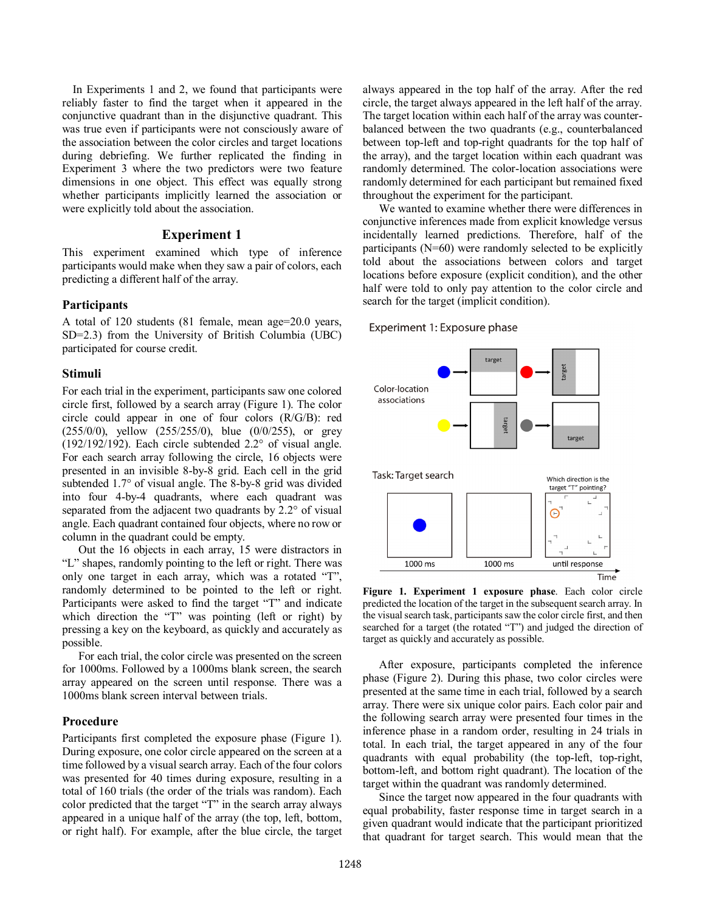In Experiments 1 and 2, we found that participants were reliably faster to find the target when it appeared in the conjunctive quadrant than in the disjunctive quadrant. This was true even if participants were not consciously aware of the association between the color circles and target locations during debriefing. We further replicated the finding in Experiment 3 where the two predictors were two feature dimensions in one object. This effect was equally strong whether participants implicitly learned the association or were explicitly told about the association.

## **Experiment 1**

This experiment examined which type of inference participants would make when they saw a pair of colors, each predicting a different half of the array.

## **Participants**

A total of 120 students (81 female, mean age=20.0 years, SD=2.3) from the University of British Columbia (UBC) participated for course credit.

### **Stimuli**

For each trial in the experiment, participants saw one colored circle first, followed by a search array (Figure 1). The color circle could appear in one of four colors (R/G/B): red (255/0/0), yellow (255/255/0), blue (0/0/255), or grey (192/192/192). Each circle subtended 2.2° of visual angle. For each search array following the circle, 16 objects were presented in an invisible 8-by-8 grid. Each cell in the grid subtended 1.7° of visual angle. The 8-by-8 grid was divided into four 4-by-4 quadrants, where each quadrant was separated from the adjacent two quadrants by 2.2° of visual angle. Each quadrant contained four objects, where no row or column in the quadrant could be empty.

Out the 16 objects in each array, 15 were distractors in "L" shapes, randomly pointing to the left or right. There was only one target in each array, which was a rotated "T", randomly determined to be pointed to the left or right. Participants were asked to find the target "T" and indicate which direction the "T" was pointing (left or right) by pressing a key on the keyboard, as quickly and accurately as possible.

For each trial, the color circle was presented on the screen for 1000ms. Followed by a 1000ms blank screen, the search array appeared on the screen until response. There was a 1000ms blank screen interval between trials.

## **Procedure**

Participants first completed the exposure phase (Figure 1). During exposure, one color circle appeared on the screen at a time followed by a visual search array. Each of the four colors was presented for 40 times during exposure, resulting in a total of 160 trials (the order of the trials was random). Each color predicted that the target "T" in the search array always appeared in a unique half of the array (the top, left, bottom, or right half). For example, after the blue circle, the target always appeared in the top half of the array. After the red circle, the target always appeared in the left half of the array. The target location within each half of the array was counterbalanced between the two quadrants (e.g., counterbalanced between top-left and top-right quadrants for the top half of the array), and the target location within each quadrant was randomly determined. The color-location associations were randomly determined for each participant but remained fixed throughout the experiment for the participant.

We wanted to examine whether there were differences in conjunctive inferences made from explicit knowledge versus incidentally learned predictions. Therefore, half of the participants (N=60) were randomly selected to be explicitly told about the associations between colors and target locations before exposure (explicit condition), and the other half were told to only pay attention to the color circle and search for the target (implicit condition).

#### Experiment 1: Exposure phase



**Figure 1. Experiment 1 exposure phase**. Each color circle predicted the location of the target in the subsequent search array. In the visual search task, participants saw the color circle first, and then searched for a target (the rotated "T") and judged the direction of target as quickly and accurately as possible.

After exposure, participants completed the inference phase (Figure 2). During this phase, two color circles were presented at the same time in each trial, followed by a search array. There were six unique color pairs. Each color pair and the following search array were presented four times in the inference phase in a random order, resulting in 24 trials in total. In each trial, the target appeared in any of the four quadrants with equal probability (the top-left, top-right, bottom-left, and bottom right quadrant). The location of the target within the quadrant was randomly determined.

Since the target now appeared in the four quadrants with equal probability, faster response time in target search in a given quadrant would indicate that the participant prioritized that quadrant for target search. This would mean that the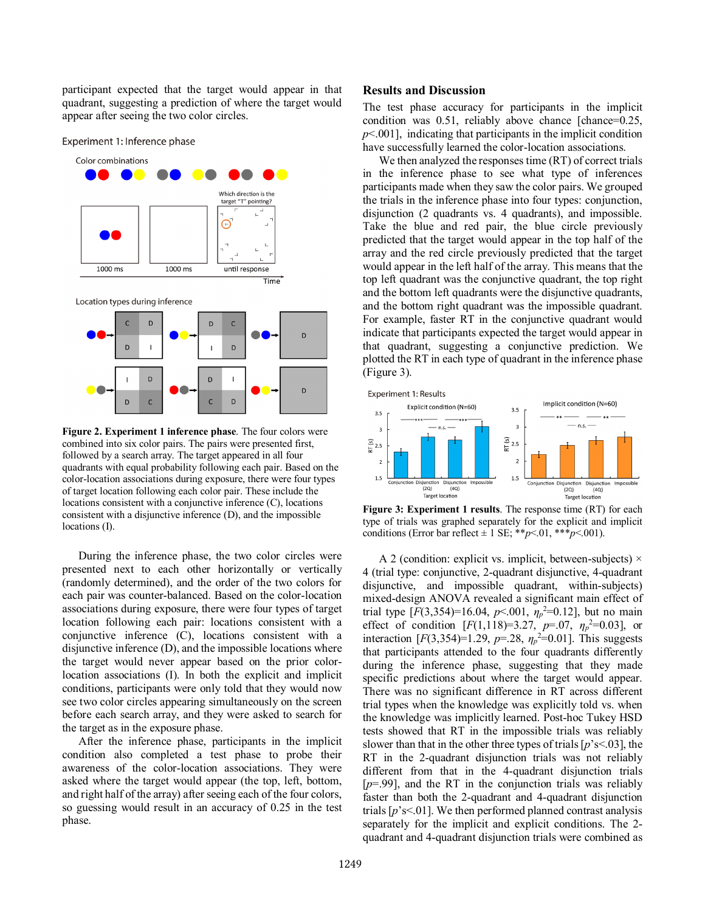participant expected that the target would appear in that quadrant, suggesting a prediction of where the target would appear after seeing the two color circles.

Experiment 1: Inference phase





**Figure 2. Experiment 1 inference phase**. The four colors were combined into six color pairs. The pairs were presented first, followed by a search array. The target appeared in all four quadrants with equal probability following each pair. Based on the color-location associations during exposure, there were four types of target location following each color pair. These include the locations consistent with a conjunctive inference (C), locations consistent with a disjunctive inference (D), and the impossible locations (I).

During the inference phase, the two color circles were presented next to each other horizontally or vertically (randomly determined), and the order of the two colors for each pair was counter-balanced. Based on the color-location associations during exposure, there were four types of target location following each pair: locations consistent with a conjunctive inference (C), locations consistent with a disjunctive inference (D), and the impossible locations where the target would never appear based on the prior colorlocation associations (I). In both the explicit and implicit conditions, participants were only told that they would now see two color circles appearing simultaneously on the screen before each search array, and they were asked to search for the target as in the exposure phase.

After the inference phase, participants in the implicit condition also completed a test phase to probe their awareness of the color-location associations. They were asked where the target would appear (the top, left, bottom, and right half of the array) after seeing each of the four colors, so guessing would result in an accuracy of 0.25 in the test phase.

#### **Results and Discussion**

The test phase accuracy for participants in the implicit condition was 0.51, reliably above chance [chance=0.25, *p*<.001], indicating that participants in the implicit condition have successfully learned the color-location associations.

We then analyzed the responses time (RT) of correct trials in the inference phase to see what type of inferences participants made when they saw the color pairs. We grouped the trials in the inference phase into four types: conjunction, disjunction (2 quadrants vs. 4 quadrants), and impossible. Take the blue and red pair, the blue circle previously predicted that the target would appear in the top half of the array and the red circle previously predicted that the target would appear in the left half of the array. This means that the top left quadrant was the conjunctive quadrant, the top right and the bottom left quadrants were the disjunctive quadrants, and the bottom right quadrant was the impossible quadrant. For example, faster RT in the conjunctive quadrant would indicate that participants expected the target would appear in that quadrant, suggesting a conjunctive prediction. We plotted the RT in each type of quadrant in the inference phase (Figure 3).



**Figure 3: Experiment 1 results**. The response time (RT) for each type of trials was graphed separately for the explicit and implicit conditions (Error bar reflect  $\pm$  1 SE; \*\**p*<.01, \*\*\**p*<.001).

A 2 (condition: explicit vs. implicit, between-subjects)  $\times$ 4 (trial type: conjunctive, 2-quadrant disjunctive, 4-quadrant disjunctive, and impossible quadrant, within-subjects) mixed-design ANOVA revealed a significant main effect of trial type  $[F(3,354)=16.04, p<.001, \eta_p^2=0.12]$ , but no main effect of condition  $[F(1,118)=3.27, p=.07, \eta_p^2=0.03]$ , or interaction  $[F(3,354)=1.29, p=.28, \eta_p^2=0.01]$ . This suggests that participants attended to the four quadrants differently during the inference phase, suggesting that they made specific predictions about where the target would appear. There was no significant difference in RT across different trial types when the knowledge was explicitly told vs. when the knowledge was implicitly learned. Post-hoc Tukey HSD tests showed that RT in the impossible trials was reliably slower than that in the other three types of trials [*p*'s<.03], the RT in the 2-quadrant disjunction trials was not reliably different from that in the 4-quadrant disjunction trials  $[p=0.99]$ , and the RT in the conjunction trials was reliably faster than both the 2-quadrant and 4-quadrant disjunction trials [*p*'s<.01]. We then performed planned contrast analysis separately for the implicit and explicit conditions. The 2 quadrant and 4-quadrant disjunction trials were combined as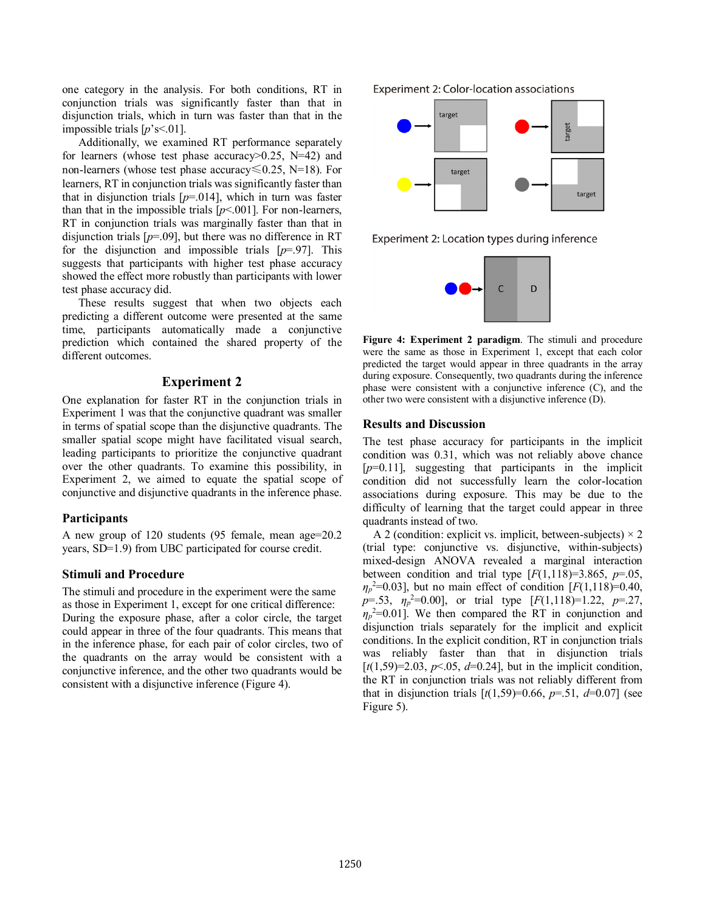one category in the analysis. For both conditions, RT in conjunction trials was significantly faster than that in disjunction trials, which in turn was faster than that in the impossible trials [*p*'s<.01].

Additionally, we examined RT performance separately for learners (whose test phase accuracy>0.25, N=42) and non-learners (whose test phase accuracy≤0.25, N=18). For learners, RT in conjunction trials was significantly faster than that in disjunction trials  $[p=0.014]$ , which in turn was faster than that in the impossible trials  $[p<.001]$ . For non-learners, RT in conjunction trials was marginally faster than that in disjunction trials [*p*=.09], but there was no difference in RT for the disjunction and impossible trials [*p*=.97]. This suggests that participants with higher test phase accuracy showed the effect more robustly than participants with lower test phase accuracy did.

These results suggest that when two objects each predicting a different outcome were presented at the same time, participants automatically made a conjunctive prediction which contained the shared property of the different outcomes.

## **Experiment 2**

One explanation for faster RT in the conjunction trials in Experiment 1 was that the conjunctive quadrant was smaller in terms of spatial scope than the disjunctive quadrants. The smaller spatial scope might have facilitated visual search, leading participants to prioritize the conjunctive quadrant over the other quadrants. To examine this possibility, in Experiment 2, we aimed to equate the spatial scope of conjunctive and disjunctive quadrants in the inference phase.

#### **Participants**

A new group of 120 students (95 female, mean age=20.2 years, SD=1.9) from UBC participated for course credit.

#### **Stimuli and Procedure**

The stimuli and procedure in the experiment were the same as those in Experiment 1, except for one critical difference: During the exposure phase, after a color circle, the target could appear in three of the four quadrants. This means that in the inference phase, for each pair of color circles, two of the quadrants on the array would be consistent with a conjunctive inference, and the other two quadrants would be consistent with a disjunctive inference (Figure 4).

Experiment 2: Color-location associations



Experiment 2: Location types during inference



**Figure 4: Experiment 2 paradigm**. The stimuli and procedure were the same as those in Experiment 1, except that each color predicted the target would appear in three quadrants in the array during exposure. Consequently, two quadrants during the inference phase were consistent with a conjunctive inference (C), and the other two were consistent with a disjunctive inference (D).

#### **Results and Discussion**

The test phase accuracy for participants in the implicit condition was 0.31, which was not reliably above chance [*p*=0.11], suggesting that participants in the implicit condition did not successfully learn the color-location associations during exposure. This may be due to the difficulty of learning that the target could appear in three quadrants instead of two.

A 2 (condition: explicit vs. implicit, between-subjects)  $\times$  2 (trial type: conjunctive vs. disjunctive, within-subjects) mixed-design ANOVA revealed a marginal interaction between condition and trial type  $[F(1,118)=3.865, p=.05,$  $\eta_p^2$ =0.03], but no main effect of condition [*F*(1,118)=0.40, *p*=.53, *η<sup>p</sup>* 2 =0.00], or trial type [*F*(1,118)=1.22, *p*=.27,  $\eta_p$ <sup>2=</sup>0.01]. We then compared the RT in conjunction and disjunction trials separately for the implicit and explicit conditions. In the explicit condition, RT in conjunction trials was reliably faster than that in disjunction trials  $[t(1,59)=2.03, p<.05, d=0.24]$ , but in the implicit condition, the RT in conjunction trials was not reliably different from that in disjunction trials  $[t(1,59)=0.66, p=.51, d=0.07]$  (see Figure 5).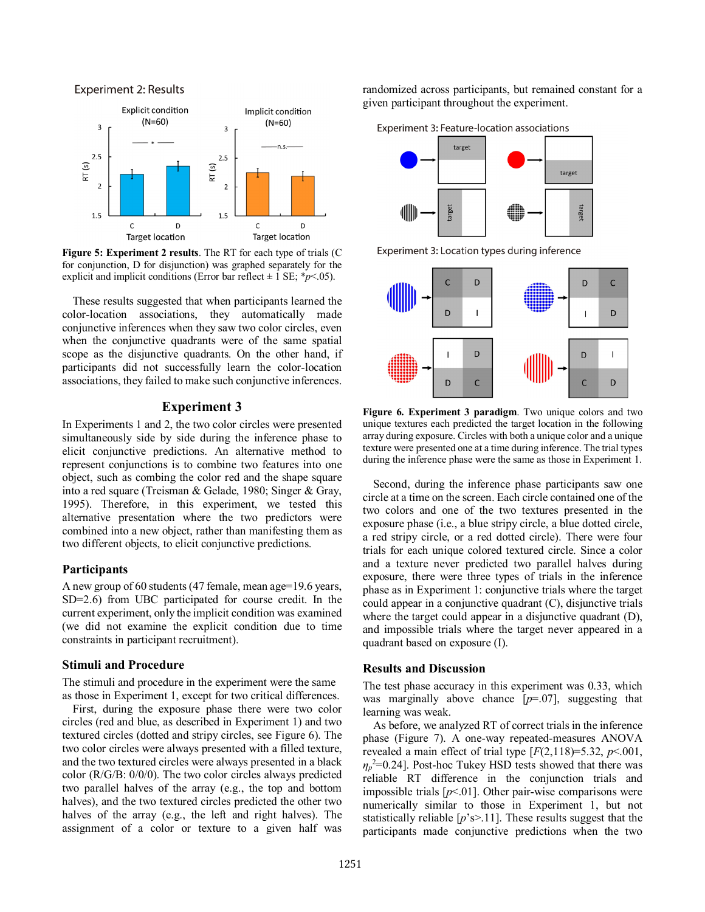#### **Experiment 2: Results**



**Figure 5: Experiment 2 results**. The RT for each type of trials (C for conjunction, D for disjunction) was graphed separately for the explicit and implicit conditions (Error bar reflect  $\pm$  1 SE; \**p*<.05).

These results suggested that when participants learned the color-location associations, they automatically made conjunctive inferences when they saw two color circles, even when the conjunctive quadrants were of the same spatial scope as the disjunctive quadrants. On the other hand, if participants did not successfully learn the color-location associations, they failed to make such conjunctive inferences.

## **Experiment 3**

In Experiments 1 and 2, the two color circles were presented simultaneously side by side during the inference phase to elicit conjunctive predictions. An alternative method to represent conjunctions is to combine two features into one object, such as combing the color red and the shape square into a red square (Treisman & Gelade, 1980; Singer & Gray, 1995). Therefore, in this experiment, we tested this alternative presentation where the two predictors were combined into a new object, rather than manifesting them as two different objects, to elicit conjunctive predictions.

## **Participants**

A new group of 60 students (47 female, mean age=19.6 years, SD=2.6) from UBC participated for course credit. In the current experiment, only the implicit condition was examined (we did not examine the explicit condition due to time constraints in participant recruitment).

#### **Stimuli and Procedure**

The stimuli and procedure in the experiment were the same as those in Experiment 1, except for two critical differences.

First, during the exposure phase there were two color circles (red and blue, as described in Experiment 1) and two textured circles (dotted and stripy circles, see Figure 6). The two color circles were always presented with a filled texture, and the two textured circles were always presented in a black color (R/G/B: 0/0/0). The two color circles always predicted two parallel halves of the array (e.g., the top and bottom halves), and the two textured circles predicted the other two halves of the array (e.g., the left and right halves). The assignment of a color or texture to a given half was randomized across participants, but remained constant for a given participant throughout the experiment.



Experiment 3: Location types during inference



**Figure 6. Experiment 3 paradigm**. Two unique colors and two unique textures each predicted the target location in the following array during exposure. Circles with both a unique color and a unique texture were presented one at a time during inference. The trial types during the inference phase were the same as those in Experiment 1.

Second, during the inference phase participants saw one circle at a time on the screen. Each circle contained one of the two colors and one of the two textures presented in the exposure phase (i.e., a blue stripy circle, a blue dotted circle, a red stripy circle, or a red dotted circle). There were four trials for each unique colored textured circle. Since a color and a texture never predicted two parallel halves during exposure, there were three types of trials in the inference phase as in Experiment 1: conjunctive trials where the target could appear in a conjunctive quadrant (C), disjunctive trials where the target could appear in a disjunctive quadrant (D), and impossible trials where the target never appeared in a quadrant based on exposure (I).

### **Results and Discussion**

The test phase accuracy in this experiment was 0.33, which was marginally above chance [*p*=.07], suggesting that learning was weak.

As before, we analyzed RT of correct trials in the inference phase (Figure 7). A one-way repeated-measures ANOVA revealed a main effect of trial type  $[F(2,118)=5.32, p<.001,$ *η*<sub>*p*</sub><sup>2=0.24</sub>]. Post-hoc Tukey HSD tests showed that there was</sup> reliable RT difference in the conjunction trials and impossible trials [*p*<.01]. Other pair-wise comparisons were numerically similar to those in Experiment 1, but not statistically reliable [*p*'s>.11]. These results suggest that the participants made conjunctive predictions when the two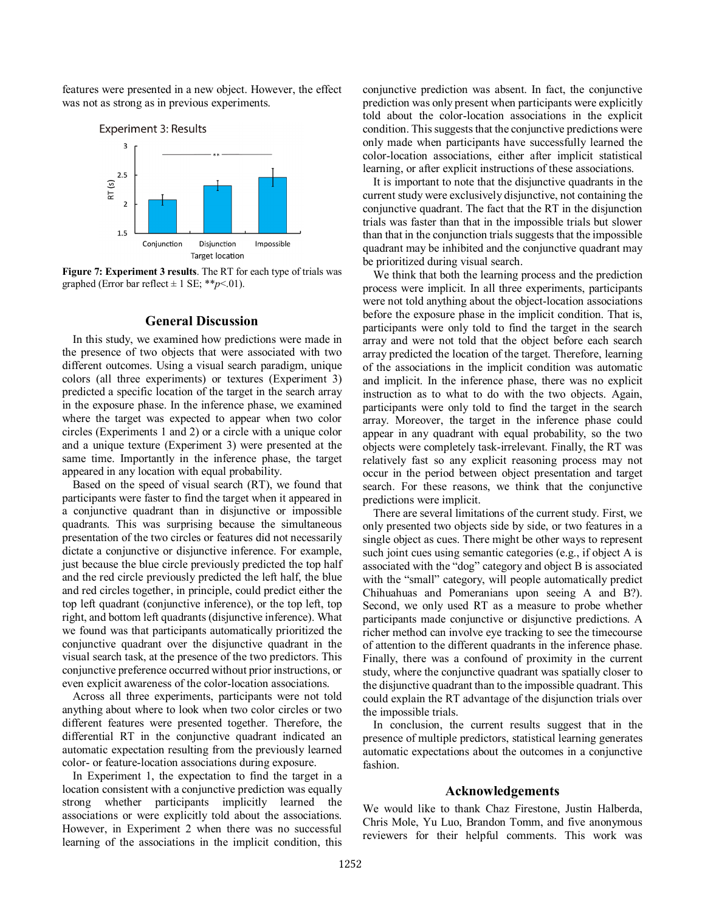features were presented in a new object. However, the effect was not as strong as in previous experiments.



**Figure 7: Experiment 3 results**. The RT for each type of trials was graphed (Error bar reflect  $\pm$  1 SE; \*\**p*<.01).

## **General Discussion**

In this study, we examined how predictions were made in the presence of two objects that were associated with two different outcomes. Using a visual search paradigm, unique colors (all three experiments) or textures (Experiment 3) predicted a specific location of the target in the search array in the exposure phase. In the inference phase, we examined where the target was expected to appear when two color circles (Experiments 1 and 2) or a circle with a unique color and a unique texture (Experiment 3) were presented at the same time. Importantly in the inference phase, the target appeared in any location with equal probability.

Based on the speed of visual search (RT), we found that participants were faster to find the target when it appeared in a conjunctive quadrant than in disjunctive or impossible quadrants. This was surprising because the simultaneous presentation of the two circles or features did not necessarily dictate a conjunctive or disjunctive inference. For example, just because the blue circle previously predicted the top half and the red circle previously predicted the left half, the blue and red circles together, in principle, could predict either the top left quadrant (conjunctive inference), or the top left, top right, and bottom left quadrants (disjunctive inference). What we found was that participants automatically prioritized the conjunctive quadrant over the disjunctive quadrant in the visual search task, at the presence of the two predictors. This conjunctive preference occurred without prior instructions, or even explicit awareness of the color-location associations.

Across all three experiments, participants were not told anything about where to look when two color circles or two different features were presented together. Therefore, the differential RT in the conjunctive quadrant indicated an automatic expectation resulting from the previously learned color- or feature-location associations during exposure.

In Experiment 1, the expectation to find the target in a location consistent with a conjunctive prediction was equally strong whether participants implicitly learned the associations or were explicitly told about the associations. However, in Experiment 2 when there was no successful learning of the associations in the implicit condition, this

conjunctive prediction was absent. In fact, the conjunctive prediction was only present when participants were explicitly told about the color-location associations in the explicit condition. This suggests that the conjunctive predictions were only made when participants have successfully learned the color-location associations, either after implicit statistical learning, or after explicit instructions of these associations.

It is important to note that the disjunctive quadrants in the current study were exclusively disjunctive, not containing the conjunctive quadrant. The fact that the RT in the disjunction trials was faster than that in the impossible trials but slower than that in the conjunction trials suggests that the impossible quadrant may be inhibited and the conjunctive quadrant may be prioritized during visual search.

We think that both the learning process and the prediction process were implicit. In all three experiments, participants were not told anything about the object-location associations before the exposure phase in the implicit condition. That is, participants were only told to find the target in the search array and were not told that the object before each search array predicted the location of the target. Therefore, learning of the associations in the implicit condition was automatic and implicit. In the inference phase, there was no explicit instruction as to what to do with the two objects. Again, participants were only told to find the target in the search array. Moreover, the target in the inference phase could appear in any quadrant with equal probability, so the two objects were completely task-irrelevant. Finally, the RT was relatively fast so any explicit reasoning process may not occur in the period between object presentation and target search. For these reasons, we think that the conjunctive predictions were implicit.

There are several limitations of the current study. First, we only presented two objects side by side, or two features in a single object as cues. There might be other ways to represent such joint cues using semantic categories (e.g., if object A is associated with the "dog" category and object B is associated with the "small" category, will people automatically predict Chihuahuas and Pomeranians upon seeing A and B?). Second, we only used RT as a measure to probe whether participants made conjunctive or disjunctive predictions. A richer method can involve eye tracking to see the timecourse of attention to the different quadrants in the inference phase. Finally, there was a confound of proximity in the current study, where the conjunctive quadrant was spatially closer to the disjunctive quadrant than to the impossible quadrant. This could explain the RT advantage of the disjunction trials over the impossible trials.

In conclusion, the current results suggest that in the presence of multiple predictors, statistical learning generates automatic expectations about the outcomes in a conjunctive fashion.

## **Acknowledgements**

We would like to thank Chaz Firestone, Justin Halberda, Chris Mole, Yu Luo, Brandon Tomm, and five anonymous reviewers for their helpful comments. This work was